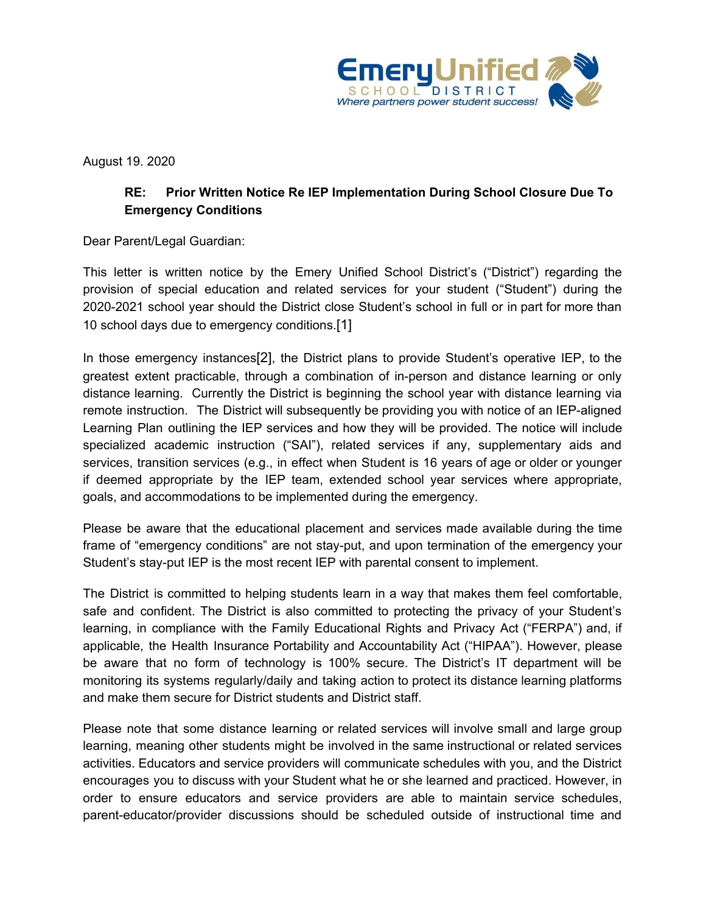

August 19. 2020

## **RE: Prior Written Notice Re IEP Implementation During School Closure Due To Emergency Conditions**

Dear Parent/Legal Guardian:

This letter is written notice by the Emery Unified School District's ("District") regarding the provision of special education and related services for your student ("Student") during the 2020-2021 school year should the District close Student's school in full or in part for more than 10 school days due to emergency conditions.[1]

In those emergency instances[2], the District plans to provide Student's operative IEP, to the greatest extent practicable, through a combination of in-person and distance learning or only distance learning. Currently the District is beginning the school year with distance learning via remote instruction. The District will subsequently be providing you with notice of an IEP-aligned Learning Plan outlining the IEP services and how they will be provided. The notice will include specialized academic instruction ("SAI"), related services if any, supplementary aids and services, transition services (e.g., in effect when Student is 16 years of age or older or younger if deemed appropriate by the IEP team, extended school year services where appropriate, goals, and accommodations to be implemented during the emergency.

Please be aware that the educational placement and services made available during the time frame of "emergency conditions" are not stay-put, and upon termination of the emergency your Student's stay-put IEP is the most recent IEP with parental consent to implement.

The District is committed to helping students learn in a way that makes them feel comfortable, safe and confident. The District is also committed to protecting the privacy of your Student's learning, in compliance with the Family Educational Rights and Privacy Act ("FERPA") and, if applicable, the Health Insurance Portability and Accountability Act ("HIPAA"). However, please be aware that no form of technology is 100% secure. The District's IT department will be monitoring its systems regularly/daily and taking action to protect its distance learning platforms and make them secure for District students and District staff.

Please note that some distance learning or related services will involve small and large group learning, meaning other students might be involved in the same instructional or related services activities. Educators and service providers will communicate schedules with you, and the District encourages you to discuss with your Student what he or she learned and practiced. However, in order to ensure educators and service providers are able to maintain service schedules, parent-educator/provider discussions should be scheduled outside of instructional time and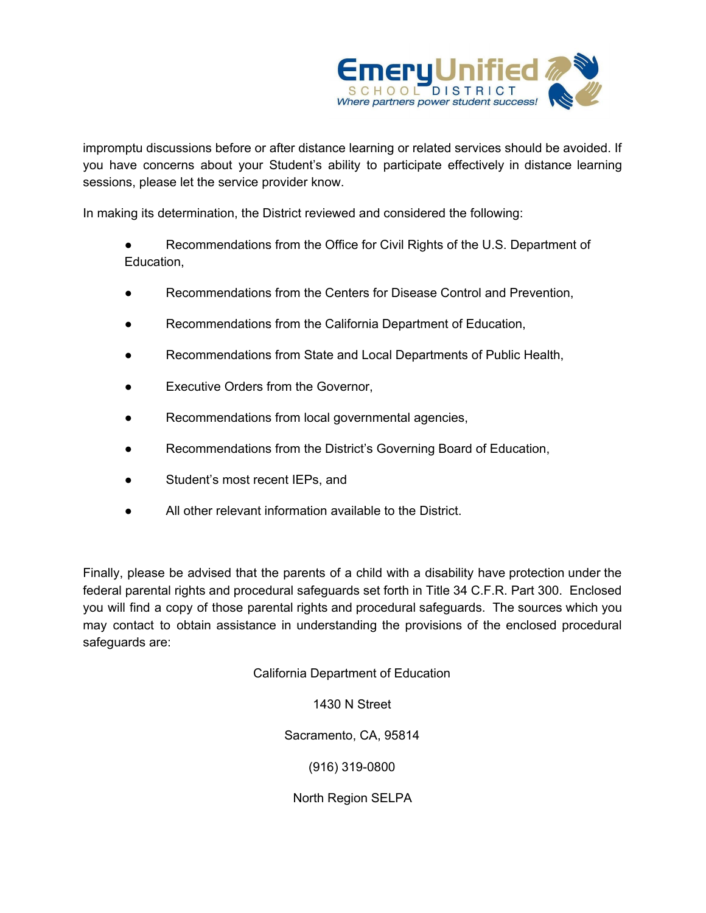

impromptu discussions before or after distance learning or related services should be avoided. If you have concerns about your Student's ability to participate effectively in distance learning sessions, please let the service provider know.

In making its determination, the District reviewed and considered the following:

● Recommendations from the Office for Civil Rights of the U.S. Department of Education,

- Recommendations from the Centers for Disease Control and Prevention,
- Recommendations from the California Department of Education,
- Recommendations from State and Local Departments of Public Health,
- Executive Orders from the Governor,
- Recommendations from local governmental agencies,
- Recommendations from the District's Governing Board of Education,
- Student's most recent IEPs, and
- All other relevant information available to the District.

Finally, please be advised that the parents of a child with a disability have protection under the federal parental rights and procedural safeguards set forth in Title 34 C.F.R. Part 300. Enclosed you will find a copy of those parental rights and procedural safeguards. The sources which you may contact to obtain assistance in understanding the provisions of the enclosed procedural safeguards are:

California Department of Education

1430 N Street

Sacramento, CA, 95814

(916) 319-0800

North Region SELPA